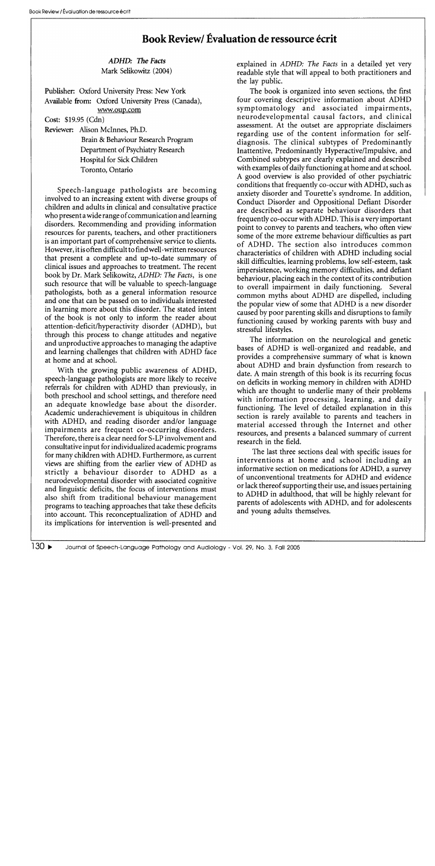## **Book Review/ Evaluation de ressource ecrit**

*ADHD: The Facts*  Mark Selikowitz (2004)

Publisher: Oxford University Press: New York Available from: Oxford University Press (Canada), www.oup.com

Cost: \$19.95 (Cdn)

Reviewer: Alison McInnes, Ph.D.

Brain & Behaviour Research Program Department of Psychiatry Research Hospital for Sick Children Toronto, Ontario

Speech-language pathologists are becoming involved to an increasing extent with diverse groups of children and adults in clinical and consultative practice who present a wide range of communication and learning disorders. Recommending and providing information resources for parents, teachers, and other practitioners is an important part of comprehensive service to clients. However, it is often difficult to find well-written resources that present a complete and up-to-date summary of clinical issues and approaches to treatment. The recent book by Dr. Mark Selikowitz, *ADHD: The Facts,* is one such resource that will be valuable to speech-language pathologists, both as a general information resource and one that can be passed on to individuals interested in learning more about this disorder. The stated intent of the book is not only to inform the reader about attention-deficit/hyperactivity disorder (ADHD), but through this process to change attitudes and negative and unproductive approaches to managing the adaptive and learning challenges that children with ADHD face at home and at school.

With the growing public awareness of ADHD, speech-language pathologists are more likely to receive referrals for children with ADHD than previously, in both preschool and school settings, and therefore need an adequate knowledge base about the disorder. Academic underachievement is ubiquitous in children with ADHD, and reading disorder and/or language impairments are frequent co-occurring disorders. Therefore, there is a clear need for S-LP involvement and consultative input for individualized academic programs for many children with ADHD. Furthermore, as current views are shifting from the earlier view of ADHD as strictly a behaviour disorder to ADHD as a neurodevelopmental disorder with associated cognitive and linguistic deficits, the focus of interventions must also shift from traditional behaviour management programs to teaching approaches that take these deficits into account. This reconceptualization of ADHD and its implications for intervention is well-presented and

explained in *ADHD: The Facts* in a detailed yet very readable style that will appeal to both practitioners and the lay public.

The book is organized into seven sections, the first four covering descriptive information about ADHD symptomatology and associated impairments, neurodevelopmental causal factors, and clinical assessment. At the outset are appropriate disclaimers regarding use of the content information for selfdiagnosis. The clinical subtypes of Predominantly Inattentive, Predominantly Hyperactive/Impulsive, and Combined subtypes are clearly explained and described with examples of daily functioning at home and at school. A good overview is also provided of other psychiatric conditions that frequently co-occur with ADHD, such as anxiety disorder and Tourette's syndrome. In addition, Conduct Disorder and Oppositional Defiant Disorder are described as separate behaviour disorders that frequently co-occur with ADHD. This is a very important point to convey to parents and teachers, who often view some of the more extreme behaviour difficulties as part of ADHD. The section also introduces common characteristics of children with ADHD including social skill difficulties, learning problems, low self-esteem, task impersistence, working memory difficulties, and defiant behaviour, placing each in the context of its contribution to overall impairment in daily functioning. Several common myths about ADHD are dispelled, including the popular view of some that ADHD is a new disorder caused by poor parenting skills and disruptions to family functioning caused by working parents with busy and stressful lifestyles.

The information on the neurological and genetic bases of ADHD is well-organized and readable, and provides a comprehensive summary of what is known about ADHD and brain dysfunction from research to date. A main strength of this book is its recurring focus on deficits in working memory in children with ADHD which are thought to underlie many of their problems with information processing, learning, and daily functioning. The level of detailed explanation in this section is rarely available to parents and teachers in material accessed through the Internet and other resources, and presents a balanced summary of current research in the field.

The last three sections deal with specific issues for interventions at home and school including an informative section on medications for ADHD, a survey of unconventional treatments for ADHD and evidence or lack thereof supporting their use, and issues pertaining to ADHD in adulthood, that will be highly relevant for parents of adolescents with ADHD, and for adolescents and young adults themselves.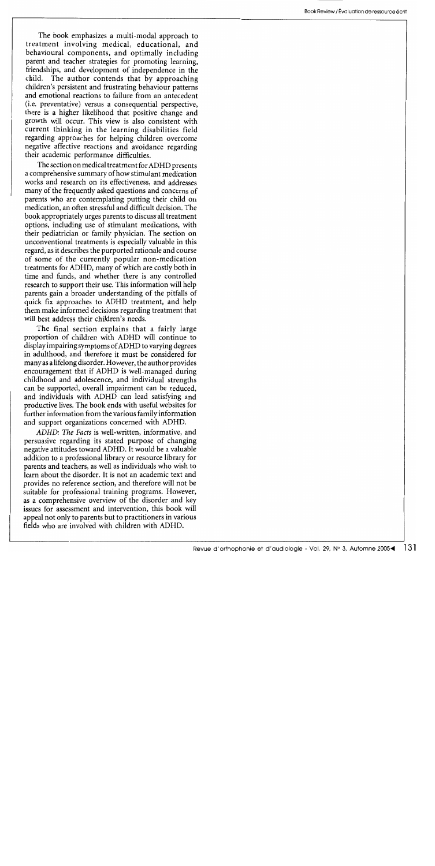The book emphasizes a multi-modal approach to treatment involving medical, educational, and behavioural components, and optimally including parent and teacher strategies for promoting learning, friendships, and development of independence in the child. The author contends that by approaching children's persistent and frustrating behaviour patterns and emotional reactions to failure from an antecedent (i.e. preventative) versus a consequential perspective, there is a higher likelihood that positive change and growth will occur. This view is also consistent with current thinking in the learning disabilities field regarding approaches for helping children overcome negative affective reactions and avoidance regarding their academic performance difficulties.

The section on medical treatment for ADHD presents a comprehensive summary of how stimulant medication works and research on its effectiveness, and addresses many of the frequently asked questions and concerns of parents who are contemplating putting their child on medication, an often stressful and difficult decision. The book appropriately urges parents to discuss all treatment options, including use of stimulant medications, with their pediatrician or family physician. The section on unconventional treatments is especially valuable in this regard, as it describes the purported rationale and course of some of the currently popular non-medication treatments for ADHD, many of which are costly both in time and funds, and whether there is any controlled research to support their use. This information will help parents gain a broader understanding of the pitfalls of quick fix approaches to ADHD treatment, and help them make informed decisions regarding treatment that will best address their children's needs.

The final section explains that a fairly large proportion of children with ADHD will continue to display impairing symptoms of ADHD to varying degrees in adulthood, and therefore it must be considered for many as a lifelong disorder. However, the author provides encouragement that if ADHD is well-managed during childhood and adolescence, and individual strengths can be supported, overall impairment can be reduced, and individuals with ADHD can lead satisfying and productive lives. The book ends with useful websites for further information from the various family information and support organizations concerned with ADHD.

*ADHD: The Facts* is well-written, informative, and persuasive regarding its stated purpose of changing negative attitudes toward ADHD. It would be a valuable addition to a professional library or resource library for parents and teachers, as well as individuals who wish to learn about the disorder. It is not an academic text and provides no reference section, and therefore will not be suitable for professional training programs. However, as a comprehensive overview of the disorder and key issues for assessment and intervention, this book will appeal not only to parents but to practitioners in various fields who are involved with children with ADHD.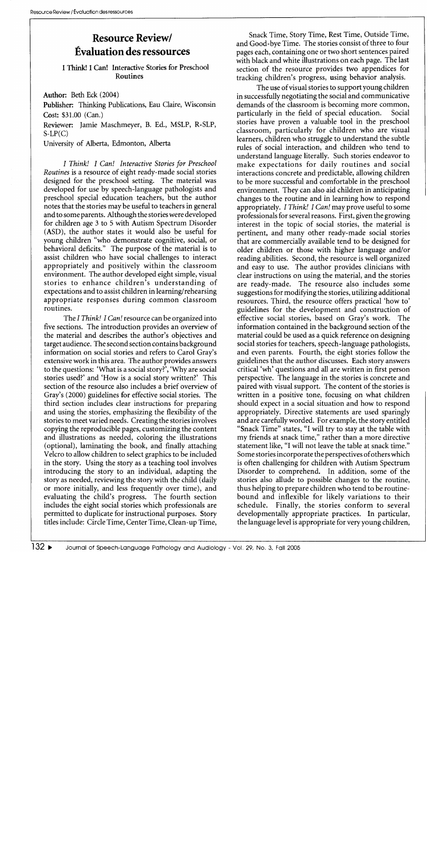## **Resource Review! Evaluation des ressources**

I Think! I Can! Interactive Stories for Preschool Routines

Author: Beth Eck (2004)

Publisher: Thinking Publications, Eau Claire, Wisconsin Cost: \$31.00 (Can.)

Reviewer: Jamie Maschmeyer, B. Ed., MSLP, R-SLP,  $S-LP(C)$ 

University of Alberta, Edmonton, Alberta

*I Think! I Can! Interactive Stories for Preschool Routines* is a resource of eight ready-made social stories designed for the preschool setting. The material was developed for use by speech-language pathologists and preschool special education teachers, but the author notes that the stories may be useful to teachers in general and to some parents. Although the stories were developed for children age 3 to 5 with Autism Spectrum Disorder (ASD), the author states it would also be useful for young children "who demonstrate cognitive, social, or behavioral deficits." The purpose of the material is to assist children who have social challenges to interact appropriately and positively within the classroom environment. The author developed eight simple, visual stories to enhance children's understanding of expectations and to assist children in learning/rehearsing appropriate responses during common classroom routines.

The *I Think! I Can!* resource can be organized into five sections. The introduction provides an overview of the material and describes the author's objectives and target audience. The second section contains background information on social stories and refers to Carol Gray's extensive work in this area. The author provides answers to the questions: 'What is a social story?', 'Why are social stories used?' and 'How is a social story written?' This section of the resource also includes a brief overview of Gray's (2000) guidelines for effective social stories. The third section includes clear instructions for preparing and using the stories, emphasizing the flexibility of the stories to meet varied needs. Creating the stories involves copying the reproducible pages, customizing the content and illustrations as needed, coloring the illustrations (optional), laminating the book, and finally attaching Velcro to allow children to select graphics to be included in the story. Using the story as a teaching tool involves introducing the story to an individual, adapting the story as needed, reviewing the story with the child (daily or more initially, and less frequently over time), and evaluating the child's progress. The fourth section includes the eight social stories which professionals are permitted to duplicate for instructional purposes. Story titles include: Circle Time, Center Time, Clean-up Time,

Snack Time, Story Time, Rest Time, Outside Time, and Good-bye Time. The stories consist of three to four pages each, containing one or two short sentences paired with black and white illustrations on each page. The last section of the resource provides two appendices for tracking children's progress, using behavior analysis.

The use of visual stories to support young children in successfully negotiating the social and communicative demands of the classroom is becoming more common,<br>particularly in the field of special education. Social particularly in the field of special education. stories have proven a valuable tool in the preschool classroom, particularly for children who are visual learners, children who struggle to understand the subtle rules of social interaction, and children who tend to understand language literally. Such stories endeavor to make expectations for daily routines and social interactions concrete and predictable, allowing children to be more successful and comfortable in the preschool environment. They can also aid children in anticipating changes to the routine and in learning how to respond appropriately. *I Think! I Can!* may prove useful to some professionals for several reasons. First, given the growing interest in the topic of social stories, the material is pertinent, and many other ready-made social stories that are commercially available tend to be designed for older children or those with higher language and/or reading abilities. Second, the resource is well organized and easy to use. The author provides clinicians with clear instructions on using the material, and the stories are ready-made. The resource also includes some suggestions for modifying the stories, utilizing additional resources. Third, the resource offers practical 'how to' guidelines for the development and construction of effective social stories, based on Gray's work. The information contained in the background section of the material could be used as a quick reference on designing social stories for teachers, speech-language pathologists, and even parents. Fourth, the eight stories follow the guidelines that the author discusses. Each story answers critical 'wh' questions and all are written in first person perspective. The language in the stories is concrete and paired with visual support. The content of the stories is written in a positive tone, focusing on what children should expect in a social situation and how to respond appropriately. Directive statements are used sparingly and are carefully worded. For example, the story entitled "Snack Time" states, "I will try to stay at the table with my friends at snack time," rather than a more directive statement like, "I will not leave the table at snack time." Some stories incorporate the perspectives of others which is often challenging for children with Autism Spectrum Disorder to comprehend. In addition, some of the stories also allude to possible changes to the routine, thus helping to prepare children who tend to be routinebound and inflexible for likely variations to their schedule. Finally, the stories conform to several developmentally appropriate practices. In particular, the language level is appropriate for very young children,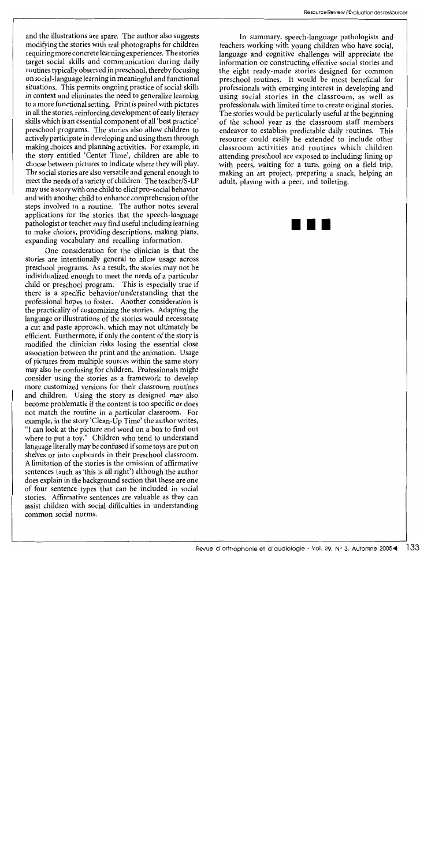and the illustrations are spare. The author also suggests modifying the stories with real photographs for children requiring more concrete learning experiences. The stories target social skills and communication during daily routines typically observed in preschool, thereby focusing on social-language learning in meaningful and functional situations. This permits ongoing practice of social skills in context and eliminates the need to generalize learning to a more functional setting. Print is paired with pictures in all the stories, reinforcing development of early literacy skills which is an essential component of all 'best practice' preschool programs. The stories also allow children to actively participate in developing and using them through making choices and planning activities. For example, in the story entitled 'Center Time', children are able to choose between pictures to indicate where they will play. The social stories are also versatile and general enough to meet the needs of a variety of children. The *teacherlS-*LP may use a story with one child to elicit pro-social behavior and with another child to enhance comprehension of the steps involved in a routine. The author notes several applications for the stories that the speech -language pathologist or teacher may find useful including learning to make choices, providing descriptions, making plans, expanding vocabulary and recalling information.

One consideration for the clinician is that the stories are intentionally general to allow usage across preschool programs. As a result, the stories may not be individualized enough to meet the needs of a particular child or preschool program. This is especially true if there is a specific behavior/understanding that the professional hopes to foster. Another consideration is the practicality of customizing the stories. Adapting the language or illustrations of the stories would necessitate a cut and paste approach, which may not ultimately be efficient. Furthermore, if only the content of the story is modified the clinician risks losing the essential close association between the print and the animation. Usage of pictures from multiple sources within the same story may also be confusing for children. Professionals might consider using the stories as a framework to develop more customized versions for their classroom routines and children. Using the story as designed may also become problematic if the content is too specific or does not match the routine in a particular classroom. For example, in the story 'Clean-Up Time' the author writes, "I can look at the picture and word on a box to find out where to put a toy." Children who tend to understand language literally may be confused if some toys are put on shelves or into cupboards in their preschool classroom. A limitation of the stories is the omission of affirmative sentences (such as 'this is all right') although the author does explain in the background section that these are one of four sentence types that can be included in social stories. Affirmative sentences are valuable as they can assist children with social difficulties in understanding common social norms.

In summary, speech-language pathologists and teachers working with young children who have social, language and cognitive challenges will appreciate the information on constructing effective social stories and the eight ready-made stories designed for common preschool routines. It would be most beneficial for professionals with emerging interest in developing and using social stories in the classroom, as well as professionals with limited time to create original stories. The stories would be particularly useful at the beginning of the school year as the classroom staff members endeavor to establish predictable daily routines. This resource could easily be extended to include other classroom activities and routines which children attending preschool are exposed to including: lining up with peers, waiting for a turn, going on a field trip, making an art project, preparing a snack, helping an adult, playing with a peer, and toileting.